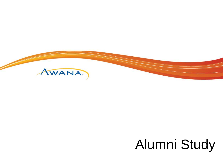

## Alumni Study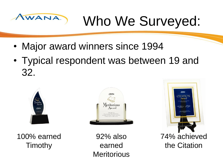# Awana Who We Surveyed:

- Major award winners since 1994
- Typical respondent was between 19 and 32.



100% earned **Timothy** 



92% also earned **Meritorious** 



the Citation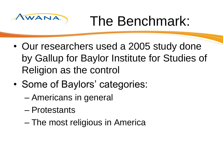

Awana, The Benchmark:

- Our researchers used a 2005 study done by Gallup for Baylor Institute for Studies of Religion as the control
- Some of Baylors' categories:
	- Americans in general
	- Protestants
	- The most religious in America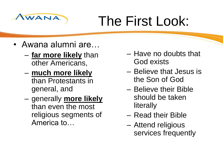

## The First Look:

- Awana alumni are…
	- **far more likely** than other Americans,
	- **much more likely** than Protestants in general, and
	- generally **more likely** than even the most religious segments of America to…
- Have no doubts that God exists
- Believe that Jesus is the Son of God
- Believe their Bible should be taken literally
- Read their Bible
- Attend religious services frequently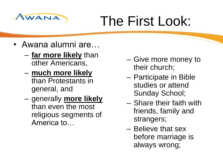

## Awana. The First Look:

- Awana alumni are…
	- **far more likely** than other Americans,
	- **much more likely** than Protestants in general, and
	- generally **more likely** than even the most religious segments of America to…
- Give more money to their church;
- Participate in Bible studies or attend Sunday School;
- Share their faith with friends, family and strangers;
- Believe that sex before marriage is always wrong;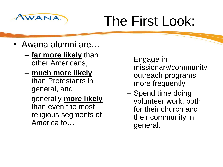

## Awana The First Look:

- Awana alumni are…
	- **far more likely** than other Americans,
	- **much more likely** than Protestants in general, and
	- generally **more likely** than even the most religious segments of America to…
- Engage in missionary/community outreach programs more frequently
- Spend time doing volunteer work, both for their church and their community in general.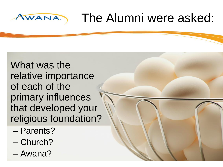#### The Alumni were asked: AWANA

What was the relative importance of each of the primary influences that developed your religious foundation?

- Parents?
- Church?
- Awana?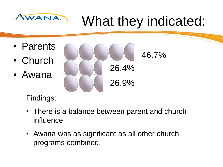# Awana What they indicated:

- Parents
- Church
- Awana

46.7% 26.9% 26.4%

Findings:

- There is a balance between parent and church influence
- Awana was as significant as all other church programs combined.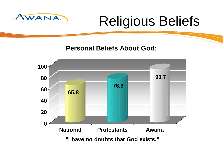

## Awana Religious Beliefs

**Personal Beliefs About God:**

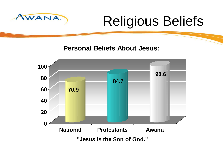

## Awana Religious Beliefs

**Personal Beliefs About Jesus:**

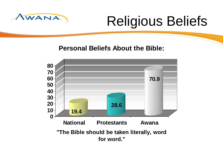

## Awana Religious Beliefs

**Personal Beliefs About the Bible:**

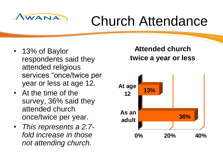

## WANA) Church Attendance

- 13% of Baylor respondents said they attended religious services "once/twice per year or less at age 12.
- At the time of the survey, 36% said they attended church once/twice per year.
- *This represents a 2.7 fold increase in those not attending church.*

#### **Attended church twice a year or less**

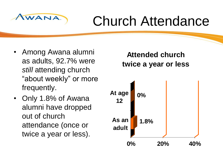

## WANA) Church Attendance

- Among Awana alumni as adults, 92.7% were *still* attending church "about weekly" or more frequently.
- Only 1.8% of Awana alumni have dropped out of church attendance (once or twice a year or less).

**Attended church twice a year or less**

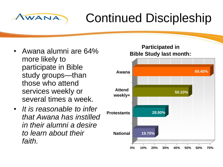### Continued Discipleship

• Awana alumni are 64% more likely to participate in Bible study groups—than those who attend services weekly or several times a week.

AWANA

• *It is reasonable to infer that Awana has instilled in their alumni a desire to learn about their faith.*

#### **Participated in Bible Study last month:**

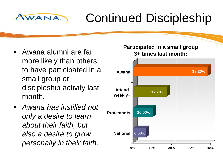### Continued Discipleship

• Awana alumni are far more likely than others to have participated in a small group or discipleship activity last month.

AWANA

• *Awana has instilled not only a desire to learn about their faith, but also a desire to grow personally in their faith.*

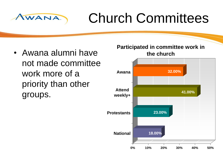

## Church Committees

• Awana alumni have not made committee work more of a priority than other groups.

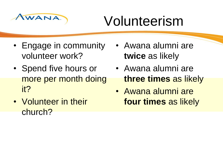

## Volunteerism

- Engage in community volunteer work?
- Spend five hours or more per month doing it?
- Volunteer in their church?
- Awana alumni are **twice** as likely
- Awana alumni are **three times** as likely
- Awana alumni are **four times** as likely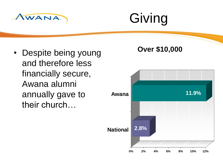

## Giving

• Despite being young and therefore less financially secure, Awana alumni annually gave to their church…

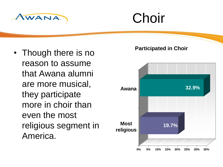

## **Choir**

• Though there is no reason to assume that Awana alumni are more musical, they participate more in choir than even the most religious segment in America.



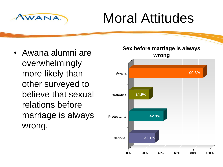

## Moral Attitudes

• Awana alumni are overwhelmingly more likely than other surveyed to believe that sexual relations before marriage is always wrong.

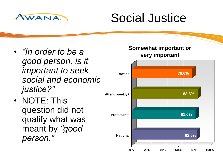

### Social Justice

- *"In order to be a good person, is it important to seek social and economic justice?"*
- NOTE: This question did not qualify what was meant by *"good person."*

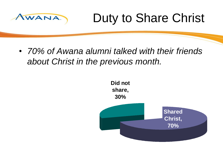

### Duty to Share Christ

• *70% of Awana alumni talked with their friends about Christ in the previous month.*

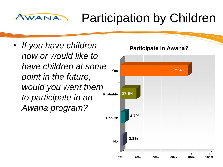#### AWANA Participation by Children

• *If you have children now or would like to have children at some point in the future, would you want them to participate in an Awana program?*

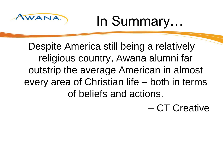

Awana In Summary…

Despite America still being a relatively religious country, Awana alumni far outstrip the average American in almost every area of Christian life – both in terms of beliefs and actions.

– CT Creative